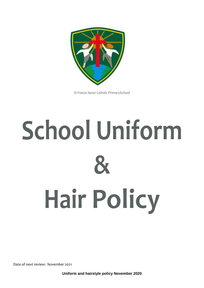

St Francis Xavier Catholic PrimarySchool

# **School Uniform & Hair Policy**

Date of next review: November 2021

**Uniform and hairstyle policy November 2020**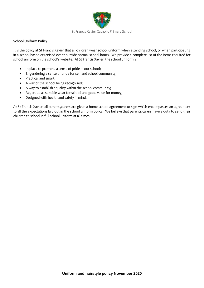

#### St Francis Xavier Catholic Primary School

#### **School Uniform Policy**

It is the policy at St Francis Xavier that all children wear school uniform when attending school, or when participating in a school-based organised event outside normal school hours. We provide a complete list of the items required for school uniform on the school's website. At St Francis Xavier, the school uniform is:

- In place to promote a sense of pride in our school;
- Engendering a sense of pride for self and school community;
- Practical and smart;
- A way of the school being recognised;
- A way to establish equality within the school community;
- Regarded as suitable wear for school and good value for money;
- Designed with health and safety in mind.

At St Francis Xavier, all parents/carers are given a home school agreement to sign which encompasses an agreement to all the expectations laid out in the school uniform policy. We believe that parents/carers have a duty to send their children to school in full school uniform at all times.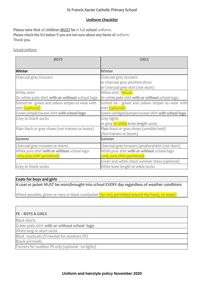### St Francis Xavier Catholic Primary School

## **Uniform Checklist**

**Please note that** all **children MUST be** in full **school** uniform. **Please check the list below if you are not sure about any Items of** uniform. **Thank you.**

School Uniform

| <b>BOYS</b>                                        | <b>GIRLS</b>                                       |
|----------------------------------------------------|----------------------------------------------------|
|                                                    |                                                    |
| <b>Winter</b>                                      | <b>Winter</b>                                      |
| Charcoal grey trousers                             | Charcoal grey trousers                             |
|                                                    | or charcoal grey pinafore dress                    |
|                                                    | or Charcoal grey skirt (not skort)                 |
| White shirt                                        | White shirt / blouse                               |
| Or white polo shirt with or without school logo    | Or white polo shirt with or without school logo    |
| School tie - green and yellow stripes to wear with | School tie - green and yellow stripes to wear with |
| shirt (optional)                                   | shirt (optional)                                   |
| Green jumper/sweat shirt with school logo          | Green cardigan/jumper/sweat shirt with school logo |
| Grey or black socks                                | Grey tights                                        |
|                                                    | or grey or white knee length socks                 |
| Plain black or grey shoes (not trainers or boots)  | Plain black or grey shoes (sensible heel)          |
|                                                    | (Not trainers or boots)                            |
| <b>Summer</b>                                      | <b>Summer</b>                                      |
| Charcoal grey trousers or shorts                   | Charcoal grey trousers /pinafore/skirt (not skort) |
| White polo shirt with or without school logo       | White polo shirt with or without school logo       |
| (only polo shirt permitted)                        | (only polo shirt permitted)                        |
|                                                    | Green and white check summer dress (optional)      |
| Grey or black socks                                | White knee length or ankle socks                   |

#### **Coats for boys and girls**

A coat or jacket MUST be worn/brought into school EVERY day regardless of weather conditions

Where possible, green or navy or black coat/jacket (fur only permitted around the hood, no loops)

# **PE - BOYS & GIRLS** Black shorts Green polo shirt **with or without school logo** White long or short socks Black tracksuits (if needed for outdoors PE) Black plimsolls Trainers for outdoor PE only (optional - no lights)